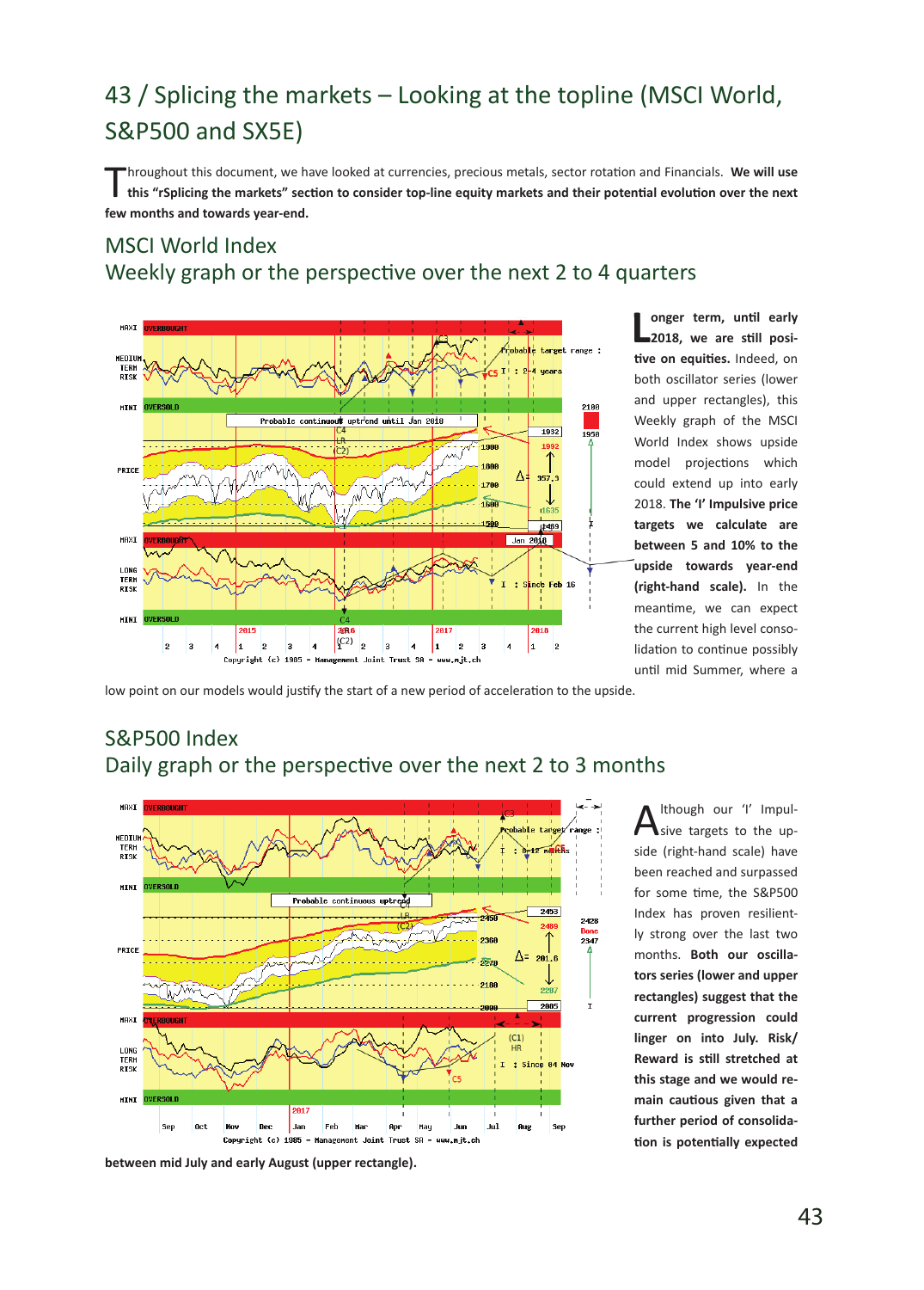# 43 / Splicing the markets – Looking at the topline (MSCI World, S&P500 and SX5E)

Throughout this document, we have looked at currencies, precious metals, sector rotation and Financials. **We will use this "rSplicing the markets" section to consider top-line equity markets and their potential evolution over the next few months and towards year-end.**

## MSCI World Index Weekly graph or the perspective over the next 2 to 4 quarters



**L onger term, until early 2018, we are still positive on equities.** Indeed, on both oscillator series (lower and upper rectangles), this Weekly graph of the MSCI World Index shows upside model projections which could extend up into early 2018. **The 'I' Impulsive price targets we calculate are between 5 and 10% to the upside towards year-end (right-hand scale).** In the meantime, we can expect the current high level consolidation to continue possibly until mid Summer, where a

low point on our models would justify the start of a new period of acceleration to the upside.

## S&P500 Index Daily graph or the perspective over the next 2 to 3 months



Ithough our 'I' Impulsive targets to the upside (right-hand scale) have been reached and surpassed for some time, the S&P500 Index has proven resiliently strong over the last two months. **Both our oscillators series (lower and upper rectangles) suggest that the current progression could linger on into July. Risk/ Reward is still stretched at this stage and we would remain cautious given that a further period of consolidation is potentially expected** 

**between mid July and early August (upper rectangle).**